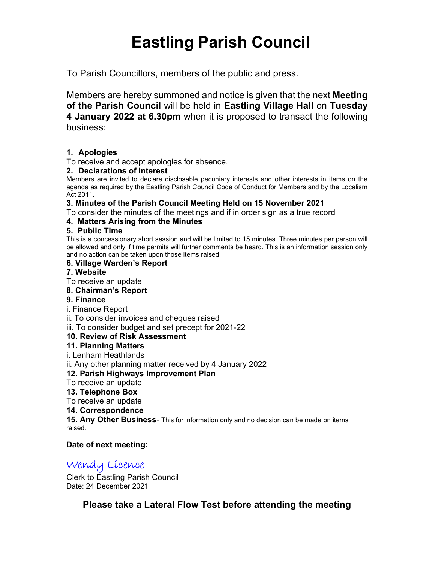# Eastling Parish Council

To Parish Councillors, members of the public and press.

Members are hereby summoned and notice is given that the next Meeting of the Parish Council will be held in Eastling Village Hall on Tuesday 4 January 2022 at 6.30pm when it is proposed to transact the following business:

# 1. Apologies

To receive and accept apologies for absence.

#### 2. Declarations of interest

Members are invited to declare disclosable pecuniary interests and other interests in items on the agenda as required by the Eastling Parish Council Code of Conduct for Members and by the Localism Act 2011.

#### 3. Minutes of the Parish Council Meeting Held on 15 November 2021

To consider the minutes of the meetings and if in order sign as a true record

# 4. Matters Arising from the Minutes

#### 5. Public Time

This is a concessionary short session and will be limited to 15 minutes. Three minutes per person will be allowed and only if time permits will further comments be heard. This is an information session only and no action can be taken upon those items raised.

#### 6. Village Warden's Report

#### 7. Website

To receive an update

#### 8. Chairman's Report

### 9. Finance

i. Finance Report

ii. To consider invoices and cheques raised

iii. To consider budget and set precept for 2021-22

### 10. Review of Risk Assessment

### 11. Planning Matters

i. Lenham Heathlands

ii. Any other planning matter received by 4 January 2022

### 12. Parish Highways Improvement Plan

- To receive an update
- 13. Telephone Box

To receive an update

#### 14. Correspondence

**15. Any Other Business-** This for information only and no decision can be made on items raised.

### Date of next meeting:

# Wendy Licence

Clerk to Eastling Parish Council Date: 24 December 2021

Please take a Lateral Flow Test before attending the meeting